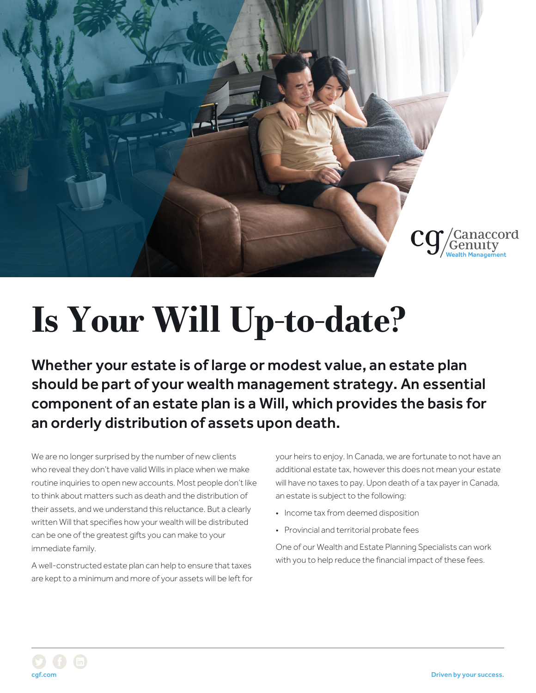

## **Is Your Will Up-to-date?**

Whether your estate is of large or modest value, an estate plan should be part of your wealth management strategy. An essential component of an estate plan is a Will, which provides the basis for an orderly distribution of assets upon death.

We are no longer surprised by the number of new clients who reveal they don't have valid Wills in place when we make routine inquiries to open new accounts. Most people don't like to think about matters such as death and the distribution of their assets, and we understand this reluctance. But a clearly written Will that specifies how your wealth will be distributed can be one of the greatest gifts you can make to your immediate family.

A well-constructed estate plan can help to ensure that taxes are kept to a minimum and more of your assets will be left for your heirs to enjoy. In Canada, we are fortunate to not have an additional estate tax, however this does not mean your estate will have no taxes to pay. Upon death of a tax payer in Canada, an estate is subject to the following:

- Income tax from deemed disposition
- Provincial and territorial probate fees

One of our Wealth and Estate Planning Specialists can work with you to help reduce the financial impact of these fees.